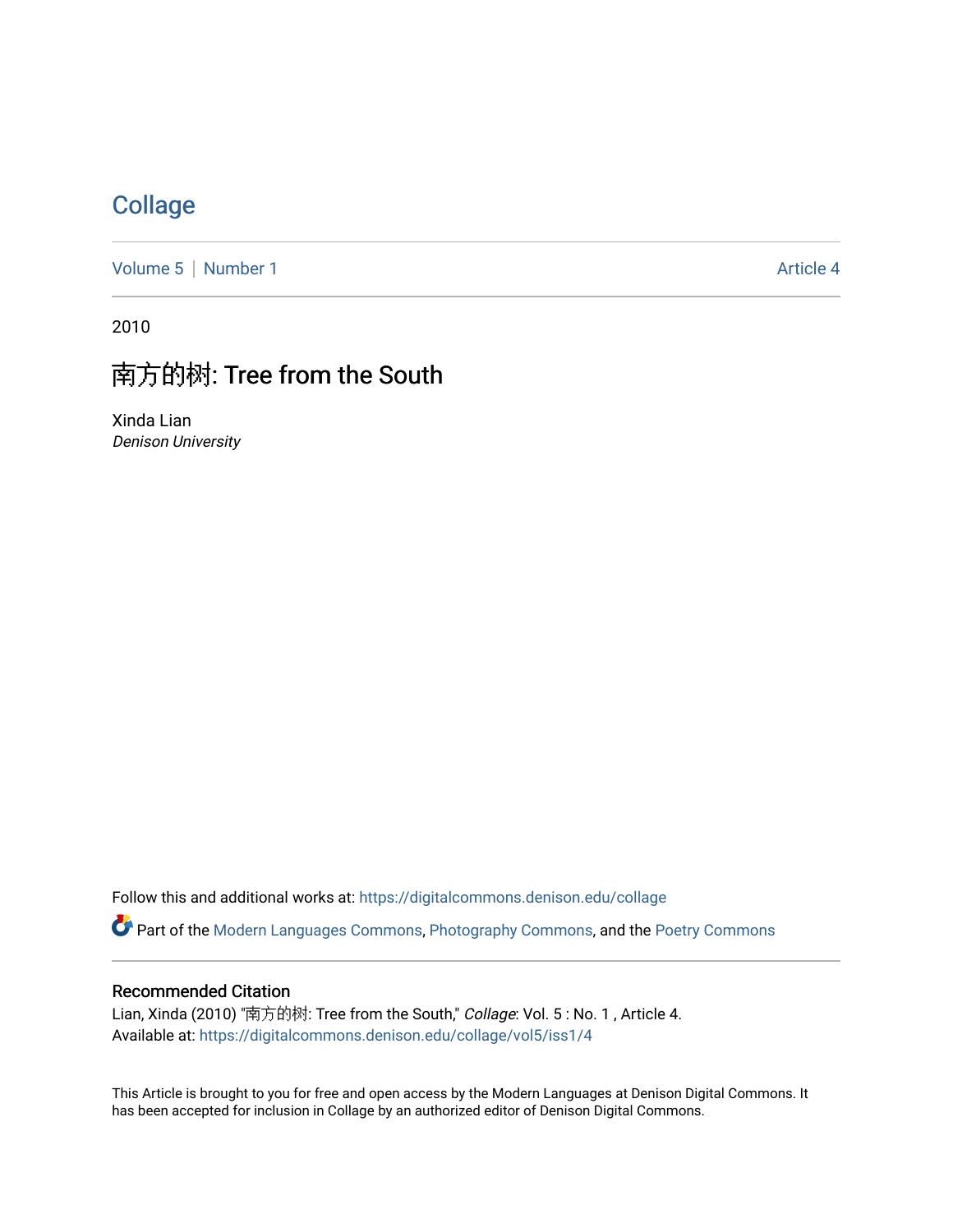## **[Collage](https://digitalcommons.denison.edu/collage)**

[Volume 5](https://digitalcommons.denison.edu/collage/vol5) | [Number 1](https://digitalcommons.denison.edu/collage/vol5/iss1) Article 4

2010

# 南方的树: Tree from the South

Xinda Lian Denison University

Follow this and additional works at: [https://digitalcommons.denison.edu/collage](https://digitalcommons.denison.edu/collage?utm_source=digitalcommons.denison.edu%2Fcollage%2Fvol5%2Fiss1%2F4&utm_medium=PDF&utm_campaign=PDFCoverPages) 

Part of the [Modern Languages Commons,](http://network.bepress.com/hgg/discipline/1130?utm_source=digitalcommons.denison.edu%2Fcollage%2Fvol5%2Fiss1%2F4&utm_medium=PDF&utm_campaign=PDFCoverPages) [Photography Commons](http://network.bepress.com/hgg/discipline/1142?utm_source=digitalcommons.denison.edu%2Fcollage%2Fvol5%2Fiss1%2F4&utm_medium=PDF&utm_campaign=PDFCoverPages), and the [Poetry Commons](http://network.bepress.com/hgg/discipline/1153?utm_source=digitalcommons.denison.edu%2Fcollage%2Fvol5%2Fiss1%2F4&utm_medium=PDF&utm_campaign=PDFCoverPages)

#### Recommended Citation

Lian, Xinda (2010) "南方的树: Tree from the South," Collage: Vol. 5 : No. 1 , Article 4. Available at: [https://digitalcommons.denison.edu/collage/vol5/iss1/4](https://digitalcommons.denison.edu/collage/vol5/iss1/4?utm_source=digitalcommons.denison.edu%2Fcollage%2Fvol5%2Fiss1%2F4&utm_medium=PDF&utm_campaign=PDFCoverPages) 

This Article is brought to you for free and open access by the Modern Languages at Denison Digital Commons. It has been accepted for inclusion in Collage by an authorized editor of Denison Digital Commons.